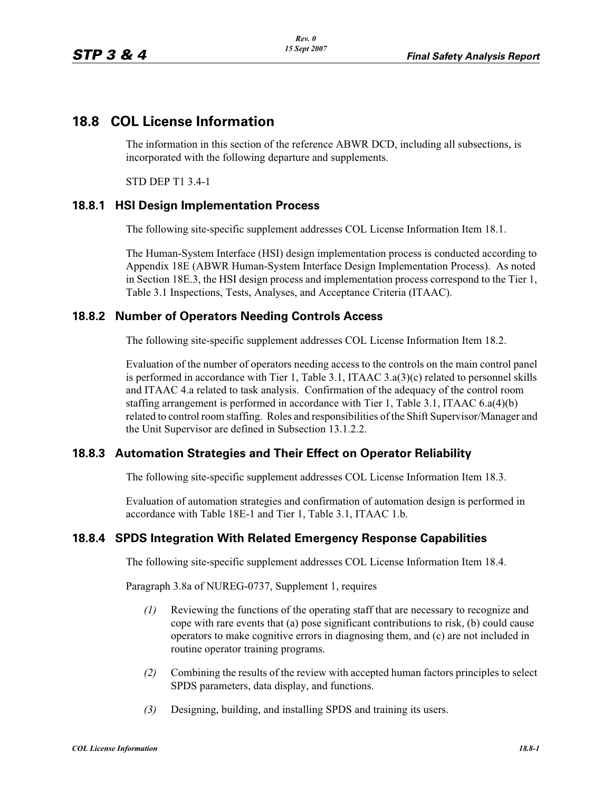# **18.8 COL License Information**

The information in this section of the reference ABWR DCD, including all subsections, is incorporated with the following departure and supplements.

STD DEP T1 3.4-1

### **18.8.1 HSI Design Implementation Process**

The following site-specific supplement addresses COL License Information Item 18.1.

The Human-System Interface (HSI) design implementation process is conducted according to Appendix 18E (ABWR Human-System Interface Design Implementation Process). As noted in Section 18E.3, the HSI design process and implementation process correspond to the Tier 1, Table 3.1 Inspections, Tests, Analyses, and Acceptance Criteria (ITAAC).

#### **18.8.2 Number of Operators Needing Controls Access**

The following site-specific supplement addresses COL License Information Item 18.2.

Evaluation of the number of operators needing access to the controls on the main control panel is performed in accordance with Tier 1, Table 3.1, ITAAC 3.a(3)(c) related to personnel skills and ITAAC 4.a related to task analysis. Confirmation of the adequacy of the control room staffing arrangement is performed in accordance with Tier 1, Table 3.1, ITAAC 6.a(4)(b) related to control room staffing. Roles and responsibilities of the Shift Supervisor/Manager and the Unit Supervisor are defined in Subsection 13.1.2.2.

### **18.8.3 Automation Strategies and Their Effect on Operator Reliability**

The following site-specific supplement addresses COL License Information Item 18.3.

Evaluation of automation strategies and confirmation of automation design is performed in accordance with Table 18E-1 and Tier 1, Table 3.1, ITAAC 1.b.

### **18.8.4 SPDS Integration With Related Emergency Response Capabilities**

The following site-specific supplement addresses COL License Information Item 18.4.

Paragraph 3.8a of NUREG-0737, Supplement 1, requires

- *(1)* Reviewing the functions of the operating staff that are necessary to recognize and cope with rare events that (a) pose significant contributions to risk, (b) could cause operators to make cognitive errors in diagnosing them, and (c) are not included in routine operator training programs.
- *(2)* Combining the results of the review with accepted human factors principles to select SPDS parameters, data display, and functions.
- *(3)* Designing, building, and installing SPDS and training its users.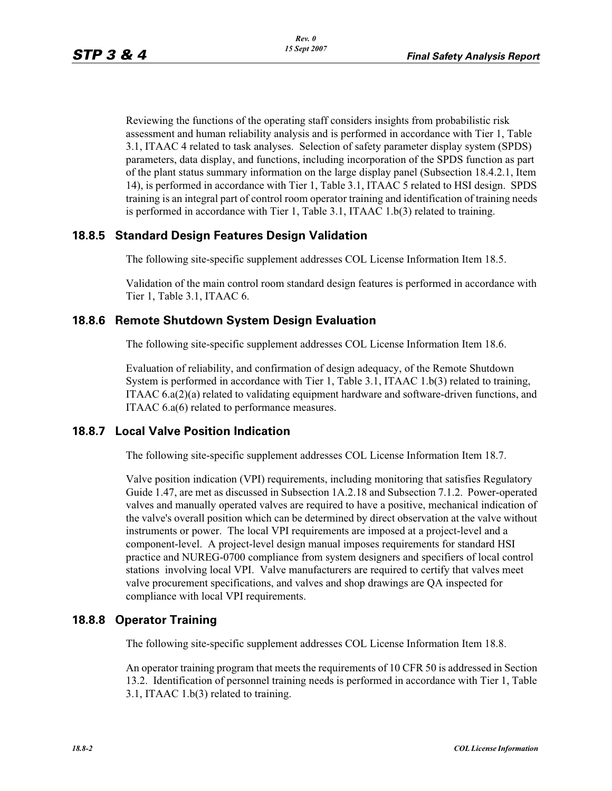Reviewing the functions of the operating staff considers insights from probabilistic risk assessment and human reliability analysis and is performed in accordance with Tier 1, Table 3.1, ITAAC 4 related to task analyses. Selection of safety parameter display system (SPDS) parameters, data display, and functions, including incorporation of the SPDS function as part of the plant status summary information on the large display panel (Subsection 18.4.2.1, Item 14), is performed in accordance with Tier 1, Table 3.1, ITAAC 5 related to HSI design. SPDS training is an integral part of control room operator training and identification of training needs is performed in accordance with Tier 1, Table 3.1, ITAAC 1.b(3) related to training.

## **18.8.5 Standard Design Features Design Validation**

The following site-specific supplement addresses COL License Information Item 18.5.

Validation of the main control room standard design features is performed in accordance with Tier 1, Table 3.1, ITAAC 6.

### **18.8.6 Remote Shutdown System Design Evaluation**

The following site-specific supplement addresses COL License Information Item 18.6.

Evaluation of reliability, and confirmation of design adequacy, of the Remote Shutdown System is performed in accordance with Tier 1, Table 3.1, ITAAC 1.b(3) related to training, ITAAC 6.a(2)(a) related to validating equipment hardware and software-driven functions, and ITAAC 6.a(6) related to performance measures.

### **18.8.7 Local Valve Position Indication**

The following site-specific supplement addresses COL License Information Item 18.7.

Valve position indication (VPI) requirements, including monitoring that satisfies Regulatory Guide 1.47, are met as discussed in Subsection 1A.2.18 and Subsection 7.1.2. Power-operated valves and manually operated valves are required to have a positive, mechanical indication of the valve's overall position which can be determined by direct observation at the valve without instruments or power. The local VPI requirements are imposed at a project-level and a component-level. A project-level design manual imposes requirements for standard HSI practice and NUREG-0700 compliance from system designers and specifiers of local control stations involving local VPI. Valve manufacturers are required to certify that valves meet valve procurement specifications, and valves and shop drawings are QA inspected for compliance with local VPI requirements.

### **18.8.8 Operator Training**

The following site-specific supplement addresses COL License Information Item 18.8.

An operator training program that meets the requirements of 10 CFR 50 is addressed in Section 13.2. Identification of personnel training needs is performed in accordance with Tier 1, Table 3.1, ITAAC 1.b(3) related to training.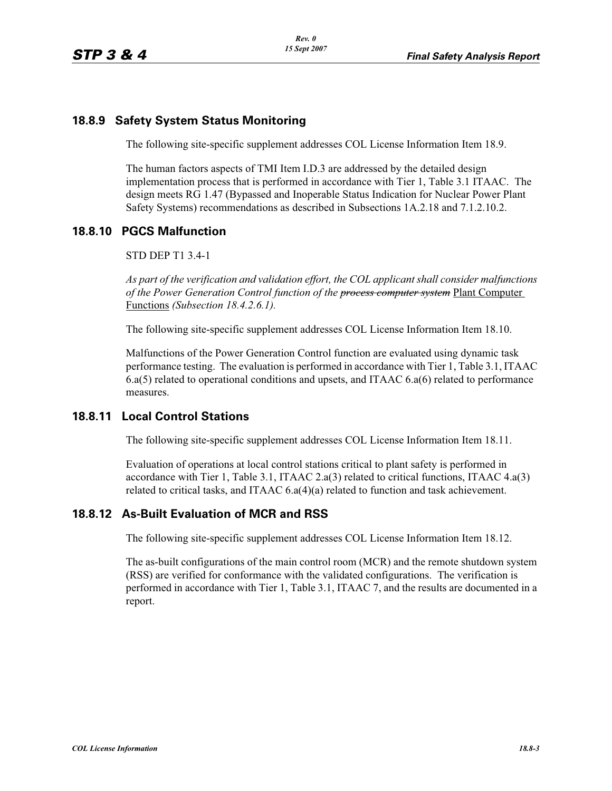## **18.8.9 Safety System Status Monitoring**

The following site-specific supplement addresses COL License Information Item 18.9.

The human factors aspects of TMI Item I.D.3 are addressed by the detailed design implementation process that is performed in accordance with Tier 1, Table 3.1 ITAAC. The design meets RG 1.47 (Bypassed and Inoperable Status Indication for Nuclear Power Plant Safety Systems) recommendations as described in Subsections 1A.2.18 and 7.1.2.10.2.

### **18.8.10 PGCS Malfunction**

STD DEP T1 3.4-1

*As part of the verification and validation effort, the COL applicant shall consider malfunctions of the Power Generation Control function of the process computer system* Plant Computer Functions *(Subsection 18.4.2.6.1).*

The following site-specific supplement addresses COL License Information Item 18.10.

Malfunctions of the Power Generation Control function are evaluated using dynamic task performance testing. The evaluation is performed in accordance with Tier 1, Table 3.1, ITAAC 6.a(5) related to operational conditions and upsets, and ITAAC 6.a(6) related to performance measures.

### **18.8.11 Local Control Stations**

The following site-specific supplement addresses COL License Information Item 18.11.

Evaluation of operations at local control stations critical to plant safety is performed in accordance with Tier 1, Table 3.1, ITAAC 2.a(3) related to critical functions, ITAAC 4.a(3) related to critical tasks, and ITAAC 6.a(4)(a) related to function and task achievement.

### **18.8.12 As-Built Evaluation of MCR and RSS**

The following site-specific supplement addresses COL License Information Item 18.12.

The as-built configurations of the main control room (MCR) and the remote shutdown system (RSS) are verified for conformance with the validated configurations. The verification is performed in accordance with Tier 1, Table 3.1, ITAAC 7, and the results are documented in a report.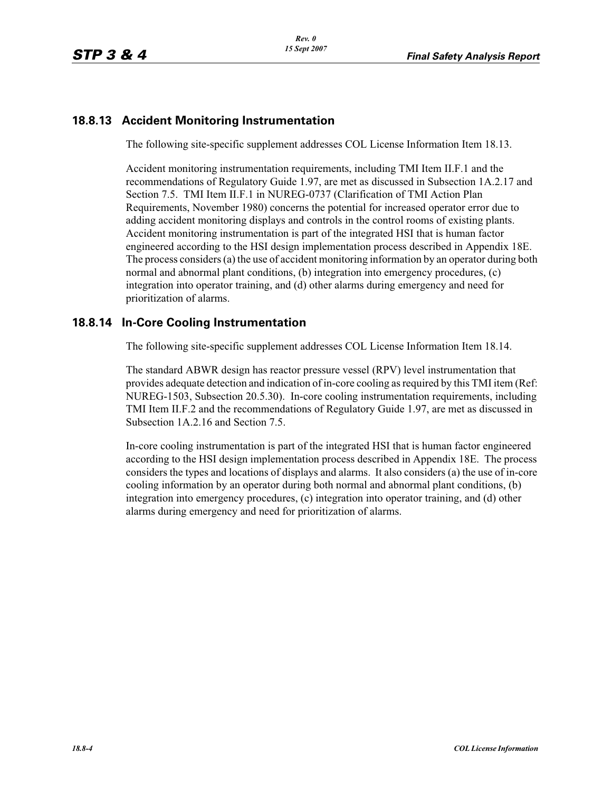## **18.8.13 Accident Monitoring Instrumentation**

The following site-specific supplement addresses COL License Information Item 18.13.

Accident monitoring instrumentation requirements, including TMI Item II.F.1 and the recommendations of Regulatory Guide 1.97, are met as discussed in Subsection 1A.2.17 and Section 7.5. TMI Item II.F.1 in NUREG-0737 (Clarification of TMI Action Plan Requirements, November 1980) concerns the potential for increased operator error due to adding accident monitoring displays and controls in the control rooms of existing plants. Accident monitoring instrumentation is part of the integrated HSI that is human factor engineered according to the HSI design implementation process described in Appendix 18E. The process considers (a) the use of accident monitoring information by an operator during both normal and abnormal plant conditions, (b) integration into emergency procedures, (c) integration into operator training, and (d) other alarms during emergency and need for prioritization of alarms.

## **18.8.14 In-Core Cooling Instrumentation**

The following site-specific supplement addresses COL License Information Item 18.14.

The standard ABWR design has reactor pressure vessel (RPV) level instrumentation that provides adequate detection and indication of in-core cooling as required by this TMI item (Ref: NUREG-1503, Subsection 20.5.30). In-core cooling instrumentation requirements, including TMI Item II.F.2 and the recommendations of Regulatory Guide 1.97, are met as discussed in Subsection 1A.2.16 and Section 7.5.

In-core cooling instrumentation is part of the integrated HSI that is human factor engineered according to the HSI design implementation process described in Appendix 18E. The process considers the types and locations of displays and alarms. It also considers (a) the use of in-core cooling information by an operator during both normal and abnormal plant conditions, (b) integration into emergency procedures, (c) integration into operator training, and (d) other alarms during emergency and need for prioritization of alarms.